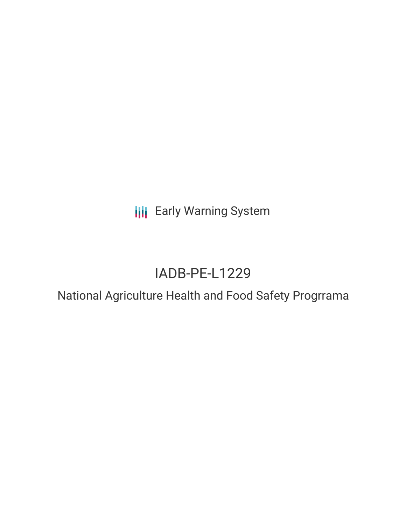**III** Early Warning System

# IADB-PE-L1229

National Agriculture Health and Food Safety Progrrama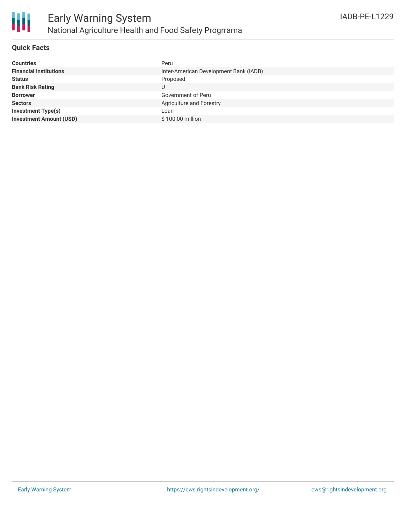

## **Quick Facts**

| <b>Countries</b>               | Peru                                   |
|--------------------------------|----------------------------------------|
| <b>Financial Institutions</b>  | Inter-American Development Bank (IADB) |
| <b>Status</b>                  | Proposed                               |
| <b>Bank Risk Rating</b>        | U                                      |
| <b>Borrower</b>                | Government of Peru                     |
| <b>Sectors</b>                 | Agriculture and Forestry               |
| <b>Investment Type(s)</b>      | Loan                                   |
| <b>Investment Amount (USD)</b> | \$100.00 million                       |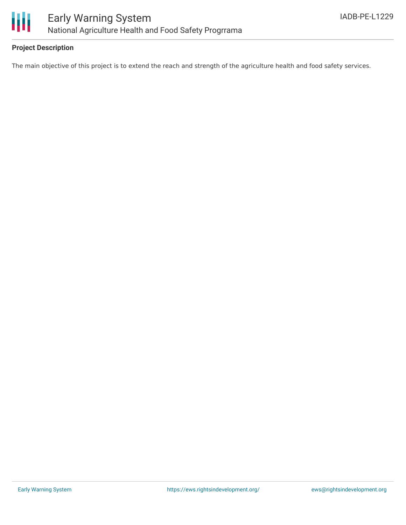

## **Project Description**

The main objective of this project is to extend the reach and strength of the agriculture health and food safety services.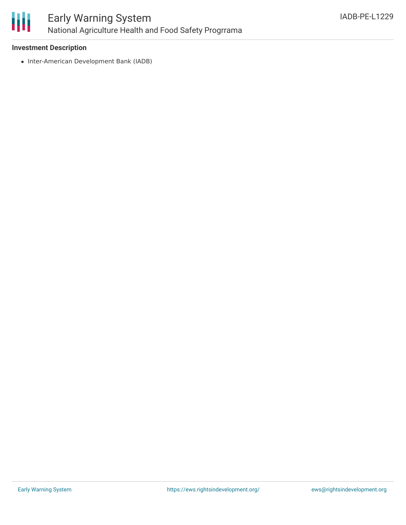

### **Investment Description**

• Inter-American Development Bank (IADB)